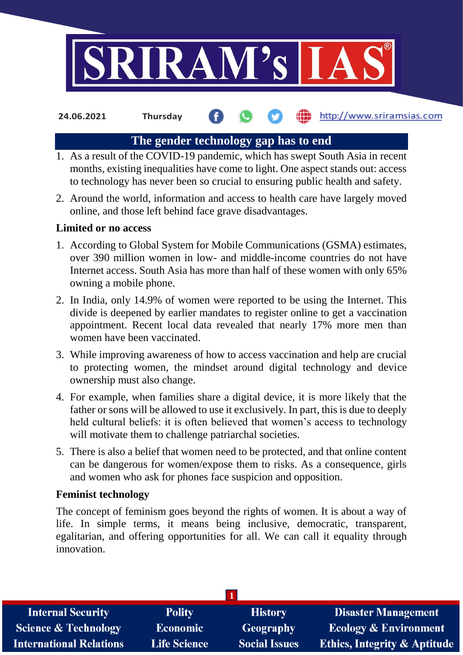

**24.06.2021 Thursday**

# http://www.sriramsias.com

## **The gender technology gap has to end**

- 1. As a result of the COVID-19 pandemic, which has swept South Asia in recent months, existing inequalities have come to light. One aspect stands out: access to technology has never been so crucial to ensuring public health and safety.
- 2. Around the world, information and access to health care have largely moved online, and those left behind face grave disadvantages.

## **Limited or no access**

- 1. According to Global System for Mobile Communications (GSMA) estimates, over 390 million women in low- and middle-income countries do not have Internet access. South Asia has more than half of these women with only 65% owning a mobile phone.
- 2. In India, only 14.9% of women were reported to be using the Internet. This divide is deepened by earlier mandates to register online to get a vaccination appointment. Recent local data revealed that nearly 17% more men than women have been vaccinated.
- 3. While improving awareness of how to access vaccination and help are crucial to protecting women, the mindset around digital technology and device ownership must also change.
- 4. For example, when families share a digital device, it is more likely that the father or sons will be allowed to use it exclusively. In part, this is due to deeply held cultural beliefs: it is often believed that women's access to technology will motivate them to challenge patriarchal societies.
- 5. There is also a belief that women need to be protected, and that online content can be dangerous for women/expose them to risks. As a consequence, girls and women who ask for phones face suspicion and opposition.

## **Feminist technology**

The concept of feminism goes beyond the rights of women. It is about a way of life. In simple terms, it means being inclusive, democratic, transparent, egalitarian, and offering opportunities for all. We can call it equality through innovation.

| <b>Internal Security</b>        | <b>Polity</b>       | <b>History</b>       | <b>Disaster Management</b>              |
|---------------------------------|---------------------|----------------------|-----------------------------------------|
| <b>Science &amp; Technology</b> | Economic            | Geography            | <b>Ecology &amp; Environment</b>        |
| <b>International Relations</b>  | <b>Life Science</b> | <b>Social Issues</b> | <b>Ethics, Integrity &amp; Aptitude</b> |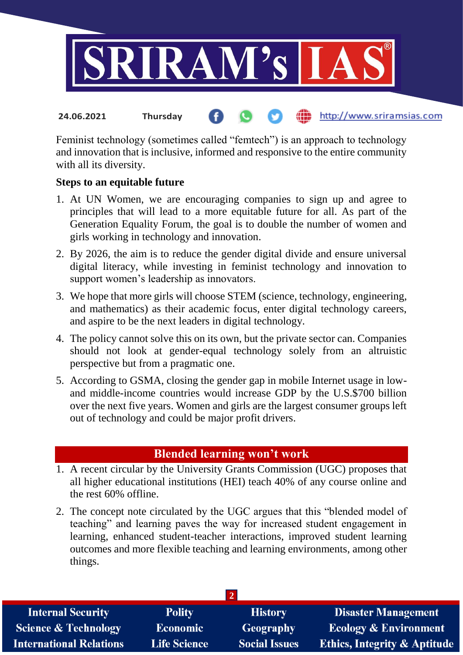

### http://www.sriramsias.com **24.06.2021 Thursday**

Feminist technology (sometimes called "femtech") is an approach to technology and innovation that is inclusive, informed and responsive to the entire community with all its diversity.

## **Steps to an equitable future**

- 1. At UN Women, we are encouraging companies to sign up and agree to principles that will lead to a more equitable future for all. As part of the Generation Equality Forum, the goal is to double the number of women and girls working in technology and innovation.
- 2. By 2026, the aim is to reduce the gender digital divide and ensure universal digital literacy, while investing in feminist technology and innovation to support women's leadership as innovators.
- 3. We hope that more girls will choose STEM (science, technology, engineering, and mathematics) as their academic focus, enter digital technology careers, and aspire to be the next leaders in digital technology.
- 4. The policy cannot solve this on its own, but the private sector can. Companies should not look at gender-equal technology solely from an altruistic perspective but from a pragmatic one.
- 5. According to GSMA, closing the gender gap in mobile Internet usage in lowand middle-income countries would increase GDP by the U.S.\$700 billion over the next five years. Women and girls are the largest consumer groups left out of technology and could be major profit drivers.

## **Blended learning won't work**

- 1. A recent circular by the University Grants Commission (UGC) proposes that all higher educational institutions (HEI) teach 40% of any course online and the rest 60% offline.
- 2. The concept note circulated by the UGC argues that this "blended model of teaching" and learning paves the way for increased student engagement in learning, enhanced student-teacher interactions, improved student learning outcomes and more flexible teaching and learning environments, among other things.

| <b>Internal Security</b>        | <b>Polity</b>       | <b>History</b>       | <b>Disaster Management</b>       |
|---------------------------------|---------------------|----------------------|----------------------------------|
| <b>Science &amp; Technology</b> | Economic            | Geography            | <b>Ecology &amp; Environment</b> |
| <b>International Relations</b>  | <b>Life Science</b> | <b>Social Issues</b> | Ethics, Integrity & Aptitude     |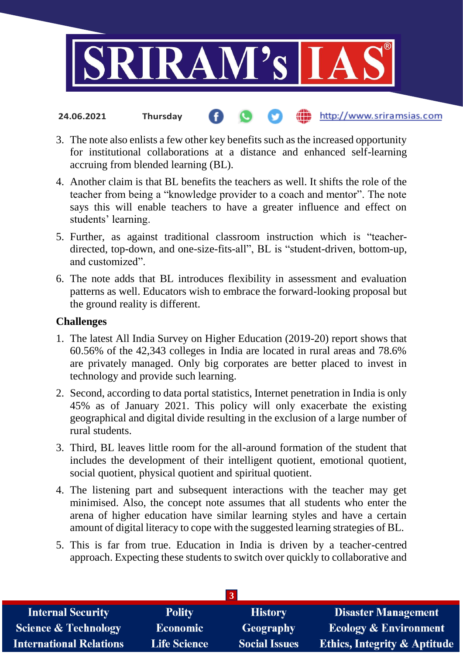

#### the http://www.sriramsias.com **24.06.2021 Thursday**

- 3. The note also enlists a few other key benefits such as the increased opportunity for institutional collaborations at a distance and enhanced self-learning accruing from blended learning (BL).
- 4. Another claim is that BL benefits the teachers as well. It shifts the role of the teacher from being a "knowledge provider to a coach and mentor". The note says this will enable teachers to have a greater influence and effect on students' learning.
- 5. Further, as against traditional classroom instruction which is "teacherdirected, top-down, and one-size-fits-all", BL is "student-driven, bottom-up, and customized".
- 6. The note adds that BL introduces flexibility in assessment and evaluation patterns as well. Educators wish to embrace the forward-looking proposal but the ground reality is different.

### **Challenges**

- 1. The latest All India Survey on Higher Education (2019-20) report shows that 60.56% of the 42,343 colleges in India are located in rural areas and 78.6% are privately managed. Only big corporates are better placed to invest in technology and provide such learning.
- 2. Second, according to data portal statistics, Internet penetration in India is only 45% as of January 2021. This policy will only exacerbate the existing geographical and digital divide resulting in the exclusion of a large number of rural students.
- 3. Third, BL leaves little room for the all-around formation of the student that includes the development of their intelligent quotient, emotional quotient, social quotient, physical quotient and spiritual quotient.
- 4. The listening part and subsequent interactions with the teacher may get minimised. Also, the concept note assumes that all students who enter the arena of higher education have similar learning styles and have a certain amount of digital literacy to cope with the suggested learning strategies of BL.
- 5. This is far from true. Education in India is driven by a teacher-centred approach. Expecting these students to switch over quickly to collaborative and

| <b>Internal Security</b>        | <b>Polity</b>       | <b>History</b>       | <b>Disaster Management</b>              |
|---------------------------------|---------------------|----------------------|-----------------------------------------|
| <b>Science &amp; Technology</b> | <b>Economic</b>     | Geography            | <b>Ecology &amp; Environment</b>        |
| <b>International Relations</b>  | <b>Life Science</b> | <b>Social Issues</b> | <b>Ethics, Integrity &amp; Aptitude</b> |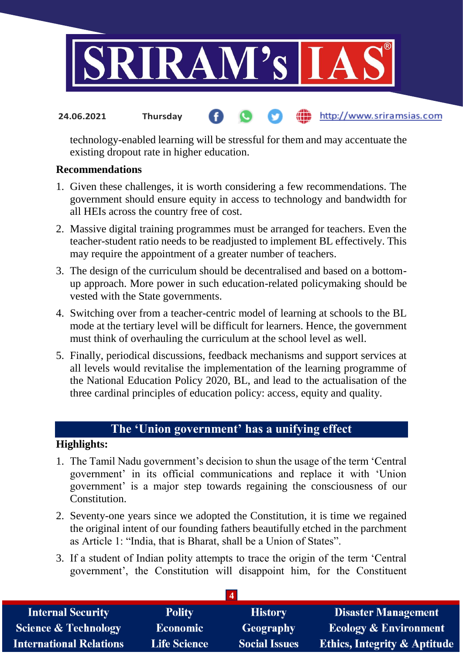

#### **fin** http://www.sriramsias.com **24.06.2021 Thursday**

technology-enabled learning will be stressful for them and may accentuate the existing dropout rate in higher education.

### **Recommendations**

- 1. Given these challenges, it is worth considering a few recommendations. The government should ensure equity in access to technology and bandwidth for all HEIs across the country free of cost.
- 2. Massive digital training programmes must be arranged for teachers. Even the teacher-student ratio needs to be readjusted to implement BL effectively. This may require the appointment of a greater number of teachers.
- 3. The design of the curriculum should be decentralised and based on a bottomup approach. More power in such education-related policymaking should be vested with the State governments.
- 4. Switching over from a teacher-centric model of learning at schools to the BL mode at the tertiary level will be difficult for learners. Hence, the government must think of overhauling the curriculum at the school level as well.
- 5. Finally, periodical discussions, feedback mechanisms and support services at all levels would revitalise the implementation of the learning programme of the National Education Policy 2020, BL, and lead to the actualisation of the three cardinal principles of education policy: access, equity and quality.

# **The 'Union government' has a unifying effect**

## **Highlights:**

- 1. The Tamil Nadu government's decision to shun the usage of the term 'Central government' in its official communications and replace it with 'Union government' is a major step towards regaining the consciousness of our **Constitution**
- 2. Seventy-one years since we adopted the Constitution, it is time we regained the original intent of our founding fathers beautifully etched in the parchment as Article 1: "India, that is Bharat, shall be a Union of States".
- 3. If a student of Indian polity attempts to trace the origin of the term 'Central government', the Constitution will disappoint him, for the Constituent

| <b>Internal Security</b>        | <b>Polity</b>       | <b>History</b>       | <b>Disaster Management</b>              |  |
|---------------------------------|---------------------|----------------------|-----------------------------------------|--|
| <b>Science &amp; Technology</b> | <b>Economic</b>     | <b>Geography</b>     | <b>Ecology &amp; Environment</b>        |  |
| <b>International Relations</b>  | <b>Life Science</b> | <b>Social Issues</b> | <b>Ethics, Integrity &amp; Aptitude</b> |  |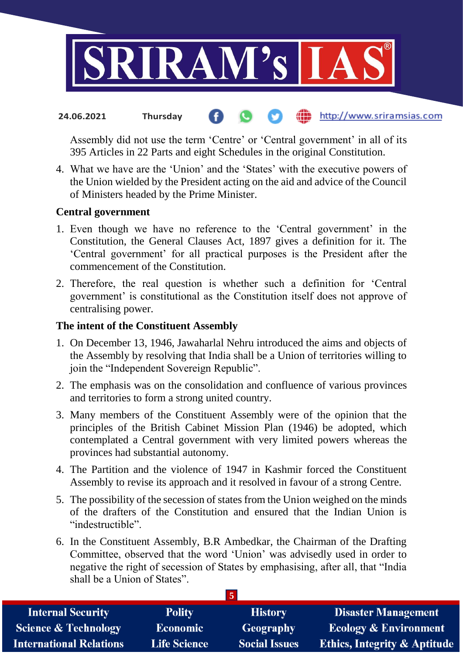

#### the http://www.sriramsias.com **24.06.2021 Thursday**

Assembly did not use the term 'Centre' or 'Central government' in all of its 395 Articles in 22 Parts and eight Schedules in the original Constitution.

4. What we have are the 'Union' and the 'States' with the executive powers of the Union wielded by the President acting on the aid and advice of the Council of Ministers headed by the Prime Minister.

## **Central government**

- 1. Even though we have no reference to the 'Central government' in the Constitution, the General Clauses Act, 1897 gives a definition for it. The 'Central government' for all practical purposes is the President after the commencement of the Constitution.
- 2. Therefore, the real question is whether such a definition for 'Central government' is constitutional as the Constitution itself does not approve of centralising power.

### **The intent of the Constituent Assembly**

- 1. On December 13, 1946, Jawaharlal Nehru introduced the aims and objects of the Assembly by resolving that India shall be a Union of territories willing to join the "Independent Sovereign Republic".
- 2. The emphasis was on the consolidation and confluence of various provinces and territories to form a strong united country.
- 3. Many members of the Constituent Assembly were of the opinion that the principles of the British Cabinet Mission Plan (1946) be adopted, which contemplated a Central government with very limited powers whereas the provinces had substantial autonomy.
- 4. The Partition and the violence of 1947 in Kashmir forced the Constituent Assembly to revise its approach and it resolved in favour of a strong Centre.
- 5. The possibility of the secession of states from the Union weighed on the minds of the drafters of the Constitution and ensured that the Indian Union is "indestructible".
- 6. In the Constituent Assembly, B.R Ambedkar, the Chairman of the Drafting Committee, observed that the word 'Union' was advisedly used in order to negative the right of secession of States by emphasising, after all, that "India shall be a Union of States".

**5**

| <b>Internal Security</b>        | <b>Polity</b>       | <b>History</b>       | <b>Disaster Management</b>       |
|---------------------------------|---------------------|----------------------|----------------------------------|
| <b>Science &amp; Technology</b> | <b>Economic</b>     | Geography            | <b>Ecology &amp; Environment</b> |
| <b>International Relations</b>  | <b>Life Science</b> | <b>Social Issues</b> | Ethics, Integrity & Aptitude     |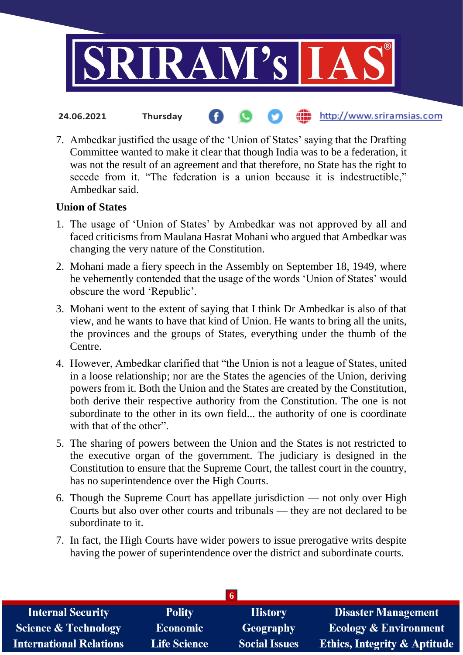

- http://www.sriramsias.com **24.06.2021 Thursday**
- 7. Ambedkar justified the usage of the 'Union of States' saying that the Drafting Committee wanted to make it clear that though India was to be a federation, it was not the result of an agreement and that therefore, no State has the right to secede from it. "The federation is a union because it is indestructible," Ambedkar said.

## **Union of States**

- 1. The usage of 'Union of States' by Ambedkar was not approved by all and faced criticisms from Maulana Hasrat Mohani who argued that Ambedkar was changing the very nature of the Constitution.
- 2. Mohani made a fiery speech in the Assembly on September 18, 1949, where he vehemently contended that the usage of the words 'Union of States' would obscure the word 'Republic'.
- 3. Mohani went to the extent of saying that I think Dr Ambedkar is also of that view, and he wants to have that kind of Union. He wants to bring all the units, the provinces and the groups of States, everything under the thumb of the Centre.
- 4. However, Ambedkar clarified that "the Union is not a league of States, united in a loose relationship; nor are the States the agencies of the Union, deriving powers from it. Both the Union and the States are created by the Constitution, both derive their respective authority from the Constitution. The one is not subordinate to the other in its own field... the authority of one is coordinate with that of the other".
- 5. The sharing of powers between the Union and the States is not restricted to the executive organ of the government. The judiciary is designed in the Constitution to ensure that the Supreme Court, the tallest court in the country, has no superintendence over the High Courts.
- 6. Though the Supreme Court has appellate jurisdiction not only over High Courts but also over other courts and tribunals — they are not declared to be subordinate to it.
- 7. In fact, the High Courts have wider powers to issue prerogative writs despite having the power of superintendence over the district and subordinate courts.

| <b>Internal Security</b>        | <b>Polity</b>       | <b>History</b>       | <b>Disaster Management</b>              |  |
|---------------------------------|---------------------|----------------------|-----------------------------------------|--|
| <b>Science &amp; Technology</b> | <b>Economic</b>     | <b>Geography</b>     | <b>Ecology &amp; Environment</b>        |  |
| <b>International Relations</b>  | <b>Life Science</b> | <b>Social Issues</b> | <b>Ethics, Integrity &amp; Aptitude</b> |  |